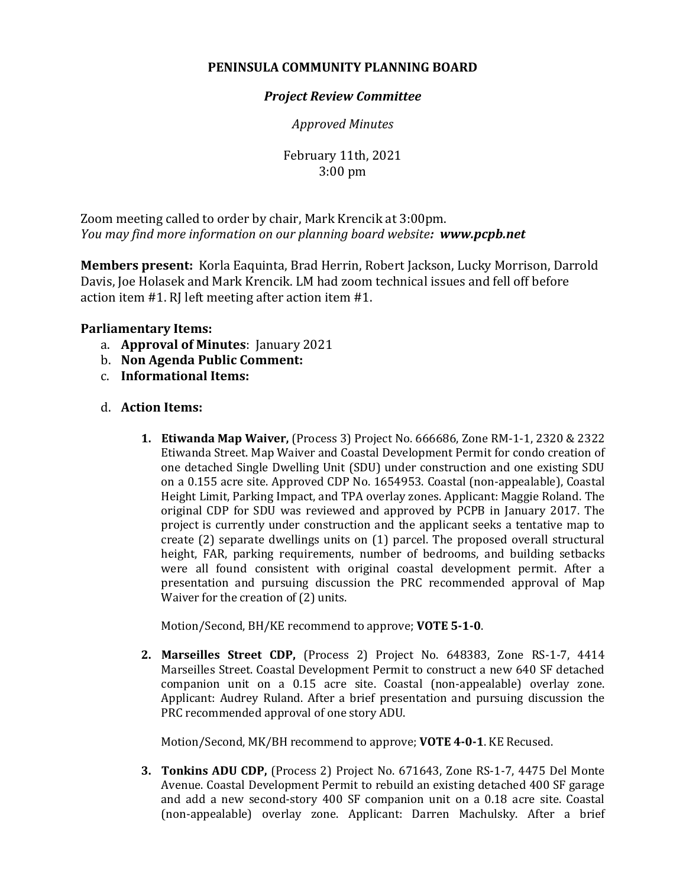## **PENINSULA COMMUNITY PLANNING BOARD**

## *Project Review Committee*

*Approved Minutes*

February 11th, 2021 3:00 pm

Zoom meeting called to order by chair, Mark Krencik at 3:00pm. *You may find more information on our planning board website: www.pcpb.net*

**Members present:** Korla Eaquinta, Brad Herrin, Robert Jackson, Lucky Morrison, Darrold Davis, Joe Holasek and Mark Krencik. LM had zoom technical issues and fell off before action item #1. RJ left meeting after action item #1.

## **Parliamentary Items:**

- a. **Approval of Minutes**: January 2021
- b. **Non Agenda Public Comment:**
- c. **Informational Items:**

## d. **Action Items:**

**1. Etiwanda Map Waiver,** (Process 3) Project No. 666686, Zone RM-1-1, 2320 & 2322 Etiwanda Street. Map Waiver and Coastal Development Permit for condo creation of one detached Single Dwelling Unit (SDU) under construction and one existing SDU on a 0.155 acre site. Approved CDP No. 1654953. Coastal (non-appealable), Coastal Height Limit, Parking Impact, and TPA overlay zones. Applicant: Maggie Roland. The original CDP for SDU was reviewed and approved by PCPB in January 2017. The project is currently under construction and the applicant seeks a tentative map to create (2) separate dwellings units on (1) parcel. The proposed overall structural height, FAR, parking requirements, number of bedrooms, and building setbacks were all found consistent with original coastal development permit. After a presentation and pursuing discussion the PRC recommended approval of Map Waiver for the creation of (2) units.

Motion/Second, BH/KE recommend to approve; **VOTE 5-1-0**.

**2. Marseilles Street CDP,** (Process 2) Project No. 648383, Zone RS-1-7, 4414 Marseilles Street. Coastal Development Permit to construct a new 640 SF detached companion unit on a 0.15 acre site. Coastal (non-appealable) overlay zone. Applicant: Audrey Ruland. After a brief presentation and pursuing discussion the PRC recommended approval of one story ADU.

Motion/Second, MK/BH recommend to approve; **VOTE 4-0-1**. KE Recused.

**3. Tonkins ADU CDP,** (Process 2) Project No. 671643, Zone RS-1-7, 4475 Del Monte Avenue. Coastal Development Permit to rebuild an existing detached 400 SF garage and add a new second-story 400 SF companion unit on a 0.18 acre site. Coastal (non-appealable) overlay zone. Applicant: Darren Machulsky. After a brief